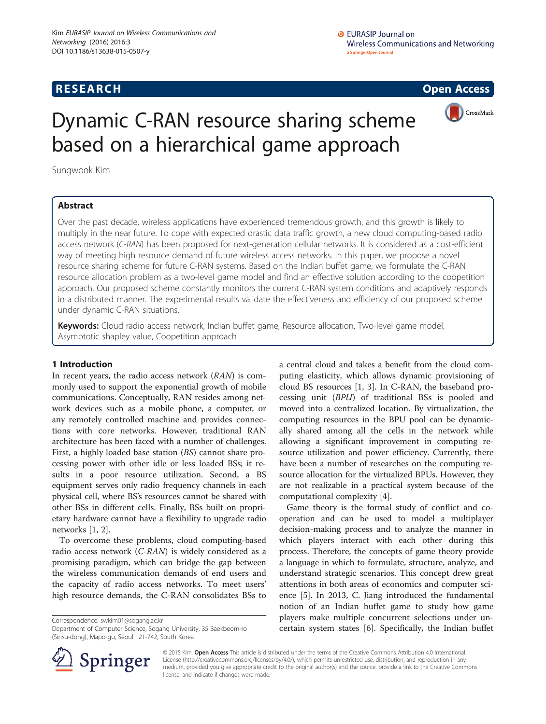## **RESEARCH CHEAR CHEAR CHEAR CHEAR CHEAR CHEAR CHEAR CHEAR CHEAR CHEAR CHEAR CHEAR CHEAR CHEAR CHEAR CHEAR CHEAR**



# Dynamic C-RAN resource sharing scheme based on a hierarchical game approach

Sungwook Kim

## Abstract

Over the past decade, wireless applications have experienced tremendous growth, and this growth is likely to multiply in the near future. To cope with expected drastic data traffic growth, a new cloud computing-based radio access network (C-RAN) has been proposed for next-generation cellular networks. It is considered as a cost-efficient way of meeting high resource demand of future wireless access networks. In this paper, we propose a novel resource sharing scheme for future C-RAN systems. Based on the Indian buffet game, we formulate the C-RAN resource allocation problem as a two-level game model and find an effective solution according to the coopetition approach. Our proposed scheme constantly monitors the current C-RAN system conditions and adaptively responds in a distributed manner. The experimental results validate the effectiveness and efficiency of our proposed scheme under dynamic C-RAN situations.

Keywords: Cloud radio access network, Indian buffet game, Resource allocation, Two-level game model, Asymptotic shapley value, Coopetition approach

## 1 Introduction

In recent years, the radio access network (RAN) is commonly used to support the exponential growth of mobile communications. Conceptually, RAN resides among network devices such as a mobile phone, a computer, or any remotely controlled machine and provides connections with core networks. However, traditional RAN architecture has been faced with a number of challenges. First, a highly loaded base station (BS) cannot share processing power with other idle or less loaded BSs; it results in a poor resource utilization. Second, a BS equipment serves only radio frequency channels in each physical cell, where BS's resources cannot be shared with other BSs in different cells. Finally, BSs built on proprietary hardware cannot have a flexibility to upgrade radio networks [\[1](#page-11-0), [2](#page-11-0)].

To overcome these problems, cloud computing-based radio access network (C-RAN) is widely considered as a promising paradigm, which can bridge the gap between the wireless communication demands of end users and the capacity of radio access networks. To meet users' high resource demands, the C-RAN consolidates BSs to

Correspondence: [swkim01@sogang.ac.kr](mailto:swkim01@sogang.ac.kr)

Department of Computer Science, Sogang University, 35 Baekbeom-ro (Sinsu-dong), Mapo-gu, Seoul 121-742, South Korea

a central cloud and takes a benefit from the cloud computing elasticity, which allows dynamic provisioning of cloud BS resources [\[1](#page-11-0), [3\]](#page-11-0). In C-RAN, the baseband processing unit (BPU) of traditional BSs is pooled and moved into a centralized location. By virtualization, the computing resources in the BPU pool can be dynamically shared among all the cells in the network while allowing a significant improvement in computing resource utilization and power efficiency. Currently, there have been a number of researches on the computing resource allocation for the virtualized BPUs. However, they are not realizable in a practical system because of the computational complexity [[4](#page-11-0)].

Game theory is the formal study of conflict and cooperation and can be used to model a multiplayer decision-making process and to analyze the manner in which players interact with each other during this process. Therefore, the concepts of game theory provide a language in which to formulate, structure, analyze, and understand strategic scenarios. This concept drew great attentions in both areas of economics and computer science [[5\]](#page-11-0). In 2013, C. Jiang introduced the fundamental notion of an Indian buffet game to study how game players make multiple concurrent selections under uncertain system states [[6\]](#page-11-0). Specifically, the Indian buffet



© 2015 Kim. Open Access This article is distributed under the terms of the Creative Commons Attribution 4.0 International License [\(http://creativecommons.org/licenses/by/4.0/](http://creativecommons.org/licenses/by/4.0/)), which permits unrestricted use, distribution, and reproduction in any medium, provided you give appropriate credit to the original author(s) and the source, provide a link to the Creative Commons license, and indicate if changes were made.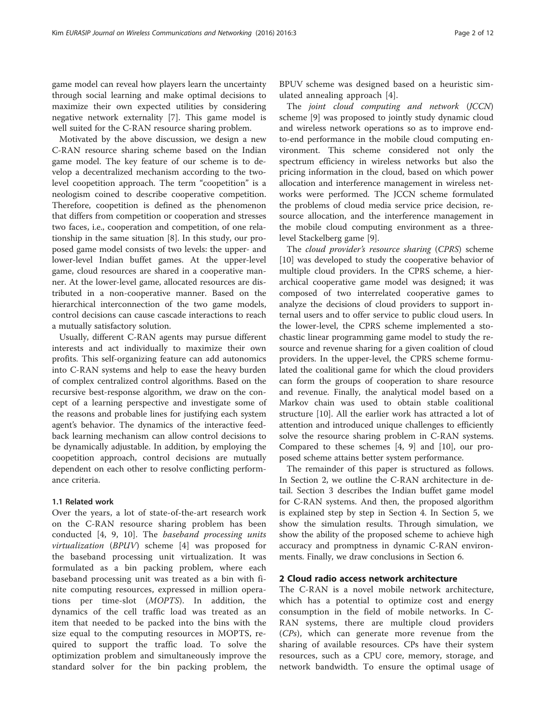game model can reveal how players learn the uncertainty through social learning and make optimal decisions to maximize their own expected utilities by considering negative network externality [[7](#page-11-0)]. This game model is well suited for the C-RAN resource sharing problem.

Motivated by the above discussion, we design a new C-RAN resource sharing scheme based on the Indian game model. The key feature of our scheme is to develop a decentralized mechanism according to the twolevel coopetition approach. The term "coopetition" is a neologism coined to describe cooperative competition. Therefore, coopetition is defined as the phenomenon that differs from competition or cooperation and stresses two faces, i.e., cooperation and competition, of one relationship in the same situation [[8](#page-11-0)]. In this study, our proposed game model consists of two levels: the upper- and lower-level Indian buffet games. At the upper-level game, cloud resources are shared in a cooperative manner. At the lower-level game, allocated resources are distributed in a non-cooperative manner. Based on the hierarchical interconnection of the two game models, control decisions can cause cascade interactions to reach a mutually satisfactory solution.

Usually, different C-RAN agents may pursue different interests and act individually to maximize their own profits. This self-organizing feature can add autonomics into C-RAN systems and help to ease the heavy burden of complex centralized control algorithms. Based on the recursive best-response algorithm, we draw on the concept of a learning perspective and investigate some of the reasons and probable lines for justifying each system agent's behavior. The dynamics of the interactive feedback learning mechanism can allow control decisions to be dynamically adjustable. In addition, by employing the coopetition approach, control decisions are mutually dependent on each other to resolve conflicting performance criteria.

### 1.1 Related work

Over the years, a lot of state-of-the-art research work on the C-RAN resource sharing problem has been conducted [[4](#page-11-0), [9, 10\]](#page-11-0). The baseband processing units virtualization (BPUV) scheme [\[4](#page-11-0)] was proposed for the baseband processing unit virtualization. It was formulated as a bin packing problem, where each baseband processing unit was treated as a bin with finite computing resources, expressed in million operations per time-slot (MOPTS). In addition, the dynamics of the cell traffic load was treated as an item that needed to be packed into the bins with the size equal to the computing resources in MOPTS, required to support the traffic load. To solve the optimization problem and simultaneously improve the standard solver for the bin packing problem, the

BPUV scheme was designed based on a heuristic simulated annealing approach [[4\]](#page-11-0).

The joint cloud computing and network (JCCN) scheme [[9\]](#page-11-0) was proposed to jointly study dynamic cloud and wireless network operations so as to improve endto-end performance in the mobile cloud computing environment. This scheme considered not only the spectrum efficiency in wireless networks but also the pricing information in the cloud, based on which power allocation and interference management in wireless networks were performed. The JCCN scheme formulated the problems of cloud media service price decision, resource allocation, and the interference management in the mobile cloud computing environment as a threelevel Stackelberg game [[9\]](#page-11-0).

The cloud provider's resource sharing (CPRS) scheme [[10\]](#page-11-0) was developed to study the cooperative behavior of multiple cloud providers. In the CPRS scheme, a hierarchical cooperative game model was designed; it was composed of two interrelated cooperative games to analyze the decisions of cloud providers to support internal users and to offer service to public cloud users. In the lower-level, the CPRS scheme implemented a stochastic linear programming game model to study the resource and revenue sharing for a given coalition of cloud providers. In the upper-level, the CPRS scheme formulated the coalitional game for which the cloud providers can form the groups of cooperation to share resource and revenue. Finally, the analytical model based on a Markov chain was used to obtain stable coalitional structure [\[10](#page-11-0)]. All the earlier work has attracted a lot of attention and introduced unique challenges to efficiently solve the resource sharing problem in C-RAN systems. Compared to these schemes [[4, 9\]](#page-11-0) and [[10\]](#page-11-0), our proposed scheme attains better system performance.

The remainder of this paper is structured as follows. In Section 2, we outline the C-RAN architecture in detail. Section [3](#page-2-0) describes the Indian buffet game model for C-RAN systems. And then, the proposed algorithm is explained step by step in Section [4](#page-3-0). In Section [5](#page-6-0), we show the simulation results. Through simulation, we show the ability of the proposed scheme to achieve high accuracy and promptness in dynamic C-RAN environments. Finally, we draw conclusions in Section [6.](#page-10-0)

## 2 Cloud radio access network architecture

The C-RAN is a novel mobile network architecture, which has a potential to optimize cost and energy consumption in the field of mobile networks. In C-RAN systems, there are multiple cloud providers (CPs), which can generate more revenue from the sharing of available resources. CPs have their system resources, such as a CPU core, memory, storage, and network bandwidth. To ensure the optimal usage of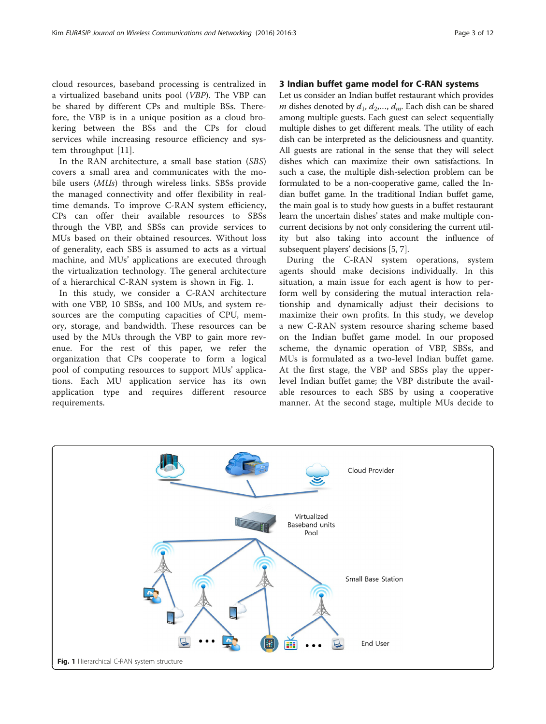<span id="page-2-0"></span>cloud resources, baseband processing is centralized in a virtualized baseband units pool (VBP). The VBP can be shared by different CPs and multiple BSs. Therefore, the VBP is in a unique position as a cloud brokering between the BSs and the CPs for cloud services while increasing resource efficiency and system throughput [[11](#page-11-0)].

In the RAN architecture, a small base station (SBS) covers a small area and communicates with the mobile users (MUs) through wireless links. SBSs provide the managed connectivity and offer flexibility in realtime demands. To improve C-RAN system efficiency, CPs can offer their available resources to SBSs through the VBP, and SBSs can provide services to MUs based on their obtained resources. Without loss of generality, each SBS is assumed to acts as a virtual machine, and MUs' applications are executed through the virtualization technology. The general architecture of a hierarchical C-RAN system is shown in Fig. 1.

In this study, we consider a C-RAN architecture with one VBP, 10 SBSs, and 100 MUs, and system resources are the computing capacities of CPU, memory, storage, and bandwidth. These resources can be used by the MUs through the VBP to gain more revenue. For the rest of this paper, we refer the organization that CPs cooperate to form a logical pool of computing resources to support MUs' applications. Each MU application service has its own application type and requires different resource requirements.

## 3 Indian buffet game model for C-RAN systems

Let us consider an Indian buffet restaurant which provides *m* dishes denoted by  $d_1, d_2, ..., d_m$ . Each dish can be shared among multiple guests. Each guest can select sequentially multiple dishes to get different meals. The utility of each dish can be interpreted as the deliciousness and quantity. All guests are rational in the sense that they will select dishes which can maximize their own satisfactions. In such a case, the multiple dish-selection problem can be formulated to be a non-cooperative game, called the Indian buffet game. In the traditional Indian buffet game, the main goal is to study how guests in a buffet restaurant learn the uncertain dishes' states and make multiple concurrent decisions by not only considering the current utility but also taking into account the influence of subsequent players' decisions [[5, 7](#page-11-0)].

During the C-RAN system operations, system agents should make decisions individually. In this situation, a main issue for each agent is how to perform well by considering the mutual interaction relationship and dynamically adjust their decisions to maximize their own profits. In this study, we develop a new C-RAN system resource sharing scheme based on the Indian buffet game model. In our proposed scheme, the dynamic operation of VBP, SBSs, and MUs is formulated as a two-level Indian buffet game. At the first stage, the VBP and SBSs play the upperlevel Indian buffet game; the VBP distribute the available resources to each SBS by using a cooperative manner. At the second stage, multiple MUs decide to

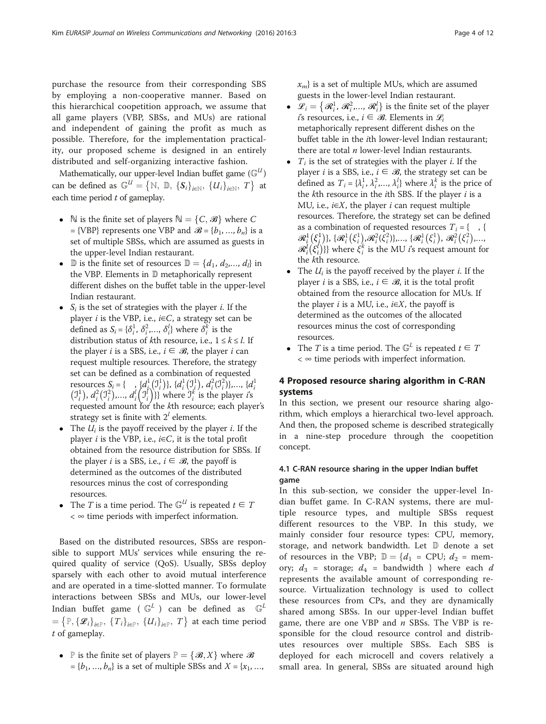<span id="page-3-0"></span>purchase the resource from their corresponding SBS by employing a non-cooperative manner. Based on this hierarchical coopetition approach, we assume that all game players (VBP, SBSs, and MUs) are rational and independent of gaining the profit as much as possible. Therefore, for the implementation practicality, our proposed scheme is designed in an entirely distributed and self-organizing interactive fashion.

Mathematically, our upper-level Indian buffet game  $(\mathbb{G}^{U})$ can be defined as  $\mathbb{G}^U = \{ \mathbb{N}, \mathbb{D}, \{ S_i \}_{i \in \mathbb{N}}, \{ U_i \}_{i \in \mathbb{N}}, T \}$  at each time period  $t$  of gameplay.

- $\mathbb{N}$  is the finite set of players  $\mathbb{N} = \{C, \mathcal{B}\}$  where C<br>  $\mathbb{N}$  = {VBP} represents one VBP and  $\mathcal{R} = \{h, h\}$  is  $=$  {VBP} represents one VBP and  $\mathcal{B} = \{b_1, ..., b_n\}$  is a set of multiple SBSs, which are assumed as guests in the upper-level Indian restaurant.
- $\Box$  is the finite set of resources  $\Box$  = { $d_1, d_2,..., d_l$ } in the VBP. Flements in  $\Box$  metaphorically represent the VBP. Elements in  $D$  metaphorically represent different dishes on the buffet table in the upper-level Indian restaurant.
- $S_i$  is the set of strategies with the player *i*. If the player *i* is the VBP, i.e.,  $i \in C$ , a strategy set can be defined as  $S_i = \{\delta_i^1, \ \delta_i^2, ..., \ \delta_i^l\}$  where  $\delta_i^k$  is the distribution status of kth resource, i.e.,  $1 \le k \le l$ . If the player *i* is a SBS, i.e.,  $i \in \mathcal{B}$ , the player *i* can request multiple resources. Therefore, the strategy set can be defined as a combination of requested resources  $S_i = \{ \quad, \{d_i^1(\mathfrak{I}_i^1)\}, \{d_i^1(\mathfrak{I}_i^1), d_i^2(\mathfrak{I}_i^2)\}, \ldots, \{d_i^l(\mathfrak{I}_i^1), d_i^2(\mathfrak{I}_i^2)\}, \ldots, \{d_i^l(\mathfrak{I}_i^1)\}$  where  $\mathfrak{I}_i^k$  is the player *i*'s requested amount for the kth resource; each player's strategy set is finite with  $2^{l}$  elements.
- The  $\overline{U_i}$  is the payoff received by the player *i*. If the player *i* is the VBB i.e.  $i \in C$  it is the total profit player *i* is the VBP, i.e.,  $i \in C$ , it is the total profit obtained from the resource distribution for SBSs. If the player *i* is a SBS, i.e.,  $i \in \mathcal{B}$ , the payoff is determined as the outcomes of the distributed resources minus the cost of corresponding resources.
- The T is a time period. The  $\mathbb{G}^U$  is repeated  $t \in T$  $\lt \infty$  time periods with imperfect information.

Based on the distributed resources, SBSs are responsible to support MUs' services while ensuring the required quality of service (QoS). Usually, SBSs deploy sparsely with each other to avoid mutual interference and are operated in a time-slotted manner. To formulate interactions between SBSs and MUs, our lower-level Indian buffet game ( $\mathbb{G}^{L}$ ) can be defined as  $\mathbb{G}^{L}$  $=\{ \mathbb{P}, \{ \mathcal{L}_i \}_{i \in \mathbb{P}}, \{ T_i \}_{i \in \mathbb{P}}, \{ U_i \}_{i \in \mathbb{P}}, T \}$  at each time period t of gameplay.

• P is the finite set of players  $\mathbb{P} = \{ \mathcal{B}, X \}$  where  $\mathcal{B}$ <br>  $=h_1, \ldots, h_k$  is a set of multiple SBSs and  $X = \{ x \}$  $= \{b_1, ..., b_n\}$  is a set of multiple SBSs and  $X = \{x_1, ..., x_n\}$   $x_m$  is a set of multiple MUs, which are assumed guests in the lower-level Indian restaurant.

- $\mathscr{L}_i = \{ \mathscr{R}_i^1, \mathscr{R}_i^2, ..., \mathscr{R}_i^l \}$  is the finite set of the player<br>*is resources* i.e. *i.e.*  $\mathscr{R}$  Elements in  $\mathscr{L}$ i's resources, i.e.,  $i \in \mathcal{B}$ . Elements in  $\mathcal{L}_i$ metaphorically represent different dishes on the buffet table in the ith lower-level Indian restaurant; there are total  $n$  lower-level Indian restaurants.
- $T_i$  is the set of strategies with the player *i*. If the player *i* is a SBS, i.e.,  $i \in \mathcal{B}$ , the strategy set can be defined as  $T_i = \{\lambda_i^1, \lambda_i^2, ..., \lambda_i^l\}$  where  $\lambda_i^k$  is the price of the  $k$ th resource in the  $i$ th SBS. If the player  $i$  is a MU, i.e.,  $i \in X$ , the player i can request multiple resources. Therefore, the strategy set can be defined as a combination of requested resources  $T_i = \{ , \}$  $\mathscr{R}_{i}^{1}\left( \mathcal{E}_{i}^{1}\right)$ }, { $\mathscr{R}_{i}^{1}\left( \mathcal{E}_{i}^{1}\right)$ , $\mathscr{R}_{i}^{2}(\mathcal{E}_{i}^{2})$ },..., { $\mathscr{R}_{i}^{1}\left( \mathcal{E}_{i}^{1}\right)$ ,  $\mathscr{R}_{i}^{2}\left( \mathcal{E}_{i}^{2}\right)$ ,...,  $\mathcal{R}_i^l(\xi_i^l)$ }} where  $\xi_i^k$  is the MU *i*'s request amount for the kth resource.
- The  $U_i$  is the payoff received by the player *i*. If the player *i* is a  $SPS$  i.e.  $i \in \mathcal{R}$  it is the total profit player *i* is a SBS, i.e.,  $i \in \mathcal{B}$ , it is the total profit obtained from the resource allocation for MUs. If the player *i* is a MU, i.e.,  $i \in X$ , the payoff is determined as the outcomes of the allocated resources minus the cost of corresponding resources.
- The T is a time period. The  $\mathbb{G}^{L}$  is repeated  $t \in T$  $<$   $\in$  time periods with imperfect information.

## 4 Proposed resource sharing algorithm in C-RAN systems

In this section, we present our resource sharing algorithm, which employs a hierarchical two-level approach. And then, the proposed scheme is described strategically in a nine-step procedure through the coopetition concept.

## 4.1 C-RAN resource sharing in the upper Indian buffet game

In this sub-section, we consider the upper-level Indian buffet game. In C-RAN systems, there are multiple resource types, and multiple SBSs request different resources to the VBP. In this study, we mainly consider four resource types: CPU, memory, storage, and network bandwidth. Let  $D$  denote a set of resources in the VBP;  $\mathbb{D} = \{d_1 = \text{CPU}; d_2 = \text{mem-} \}$ ory;  $d_3$  = storage;  $d_4$  = bandwidth } where each d represents the available amount of corresponding resource. Virtualization technology is used to collect these resources from CPs, and they are dynamically shared among SBSs. In our upper-level Indian buffet game, there are one VBP and  $n$  SBSs. The VBP is responsible for the cloud resource control and distributes resources over multiple SBSs. Each SBS is deployed for each microcell and covers relatively a small area. In general, SBSs are situated around high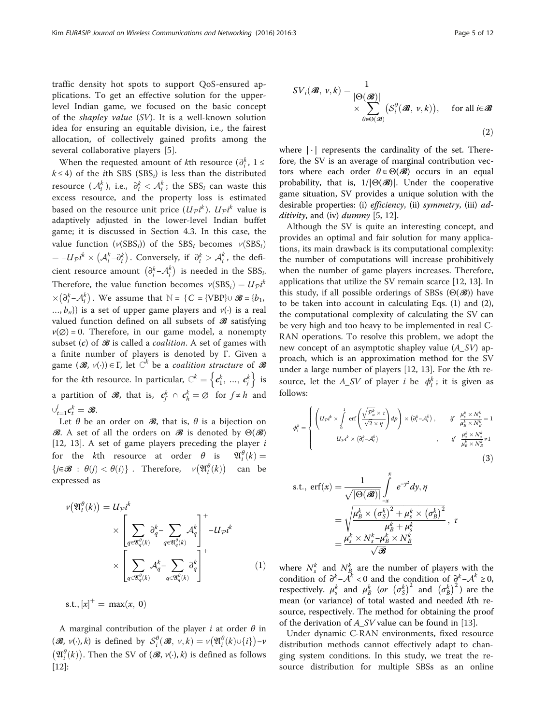<span id="page-4-0"></span>traffic density hot spots to support QoS-ensured applications. To get an effective solution for the upperlevel Indian game, we focused on the basic concept of the shapley value (SV). It is a well-known solution idea for ensuring an equitable division, i.e., the fairest allocation, of collectively gained profits among the several collaborative players [\[5](#page-11-0)].

When the requested amount of *k*th resource  $(\partial_i^k, 1 \leq$  $k \leq 4$ ) of the *i*th SBS (SBS<sub>i</sub>) is less than the distributed resource  $(A_i^k)$ , i.e.,  $\partial_i^k < A_i^k$ ; the SBS<sub>i</sub> can waste this excess resource, and the property loss is estimated based on the resource unit price  $(U_{\mathcal{P}}i^k)$ .  $U_{\mathcal{P}}i^k$  value is adaptively adjusted in the lower-level Indian buffet game; it is discussed in Section [4.3](#page-6-0). In this case, the value function ( $v(SBS_i)$ ) of the SBS<sub>i</sub> becomes  $v(SBS_i)$  $=-U_{\mathcal{P}}i^k \times (\mathcal{A}_i^k - \partial_i^k)$ . Conversely, if  $\partial_i^k > \mathcal{A}_i^k$ , the deficient resource amount  $(\partial_i^k - \mathcal{A}_i^k)$  is needed in the SBS<sub>i</sub>. Therefore, the value function becomes  $v(SBS_i) = U_p i^k$  $\times (\partial_t^k - A_t^k)$ . We assume that  $\mathbb{N} = \{C = \{\text{VBP}\}\cup \mathcal{B} = \{b_1, b_1\}$  is a set of upper same players and  $y'$ ) is a real  $..., b_n$ } is a set of upper game players and  $v(·)$  is a real valued function defined on all subsets of  $\mathcal{B}$  satisfying  $v(\emptyset) = 0$ . Therefore, in our game model, a nonempty subset  $(c)$  of  $\mathcal B$  is called a *coalition*. A set of games with a finite number of players is denoted by Γ. Given a game  $(\mathcal{B}, v(\cdot)) \in \Gamma$ , let  $\mathbb{C}^k$  be a *coalition structure* of  $\mathcal{B}$ for the *k*th resource. In particular,  $\mathbb{C}^k = \left\{ \boldsymbol{c}_1^k, \dots, \, \boldsymbol{c}_j^k \right\}$  is a partition of  $\mathcal{B}$ , that is,  $c_f^k \cap c_h^k = \emptyset$  for  $f \neq h$  and  $\cup_{t=1}^j c_t^k = \mathcal{B}.$ <br>Let  $\theta$  be

Let  $\theta$  be an order on  $\mathcal{B}$ , that is,  $\theta$  is a bijection on  $\mathcal{B}$ **.** A set of all the orders on  $\mathcal{B}$  is denoted by  $\Theta(\mathcal{B})$ [[12, 13](#page-11-0)]. A set of game players preceding the player  $i$ for the kth resource at order  $\theta$  is  $\mathfrak{A}_i^{\theta}(k) =$ can be  $\{j \in \mathcal{B} : \theta(j) < \theta(i)\}$ . Therefore,  $\nu(\mathfrak{A}_i^{\theta}(k))$  can be expressed as

$$
\nu(\mathfrak{A}_i^{\theta}(k)) = U_{\mathcal{P}} i^k
$$
  
\$\times \left[ \sum\_{q \in \mathfrak{A}\_q^{\theta}(k)} \partial\_q^k - \sum\_{q \in \mathfrak{A}\_q^{\theta}(k)} \mathcal{A}\_q^k \right]^{+} - U\_{\mathcal{P}} i^k\$  
\$\times \left[ \sum\_{q \in \mathfrak{A}\_q^{\theta}(k)} \mathcal{A}\_q^k - \sum\_{q \in \mathfrak{A}\_q^{\theta}(k)} \partial\_q^k \right]^{+}\$ (1)

s.t.,  $[x]^{+} = \max(x, 0)$ 

A marginal contribution of the player  $i$  at order  $\theta$  in  $(\mathcal{B}, v(\cdot), k)$  is defined by  $S_t^{\theta}(\mathcal{B}, v, k) = v(\mathfrak{A}_i^{\theta}(k) \cup \{i\}) - v$  $(\mathfrak{A}_{i}^{\theta}(k))$ . Then the SV of  $(\mathcal{B}, v(\cdot), k)$  is defined as follows [[12\]](#page-11-0):

$$
SV_i(\mathcal{B}, \nu, k) = \frac{1}{|\Theta(\mathcal{B})|} \times \sum_{\theta \in \Theta(\mathcal{B})} (S_i^{\theta}(\mathcal{B}, \nu, k)), \quad \text{for all } i \in \mathcal{B}
$$
\n(2)

where  $|\cdot|$  represents the cardinality of the set. Therefore, the SV is an average of marginal contribution vectors where each order  $\theta \in \Theta(\mathcal{B})$  occurs in an equal probability, that is,  $1/|\Theta(\mathcal{B})|$ . Under the cooperative game situation, SV provides a unique solution with the desirable properties: (i) efficiency, (ii) symmetry, (iii) additivity, and (iv)  $d$ ummy [[5,](#page-11-0) [12\]](#page-11-0).

Although the SV is quite an interesting concept, and provides an optimal and fair solution for many applications, its main drawback is its computational complexity: the number of computations will increase prohibitively when the number of game players increases. Therefore, applications that utilize the SV remain scarce [[12, 13\]](#page-11-0). In this study, if all possible orderings of SBSs  $(\Theta(\mathcal{B}))$  have to be taken into account in calculating Eqs. (1) and (2), the computational complexity of calculating the SV can be very high and too heavy to be implemented in real C-RAN operations. To resolve this problem, we adopt the new concept of an asymptotic shapley value (A\_SV) approach, which is an approximation method for the SV under a large number of players [[12, 13\]](#page-11-0). For the kth resource, let the  $A_S V$  of player *i* be  $\phi_i^k$ ; it is given as follows:

$$
\phi_i^k = \begin{cases} \left( U_p i^k \times \int_0^1 \text{erf}\left( \frac{\sqrt{\mathcal{P}_u^k} \times \tau}{\sqrt{2} \times \eta} \right) dp \right) \times \left( \partial_i^k - A_i^k \right), & \text{if } \frac{\mu_s^k \times N_s^k}{\mu_B^k \times N_B^k} = 1 \\ U_p i^k \times \left( \partial_i^k - A_i^k \right) & \text{if } \frac{\mu_s^k \times N_s^k}{\mu_B^k \times N_B^k} \neq 1 \end{cases} \tag{3}
$$

s.t., erf(x) = 
$$
\frac{1}{\sqrt{|\Theta(\mathcal{B})|}} \int_{-x}^{x} e^{-y^2} dy, \eta
$$

$$
= \sqrt{\frac{\mu_B^k \times (\sigma_S^k)^2 + \mu_S^k \times (\sigma_B^k)^2}{\mu_B^k + \mu_S^k}}, \tau
$$

$$
= \frac{\mu_S^k \times N_S^k - \mu_B^k \times N_B^k}{\sqrt{\mathcal{B}}}
$$

where  $N_s^k$  and  $N_R^k$  are the number of players with the condition of  $\partial^k - \tilde{\mathcal{A}}^k < 0$  and the condition of  $\partial^k - \mathcal{A}^k \ge 0$ , respectively.  $\mu_s^k$  and  $\mu_B^k$  (or  $(\sigma_S^k)^2$ ) are the mean (or variance) of total wasted and needed kth resource, respectively. The method for obtaining the proof of the derivation of  $A$ <sub>\_</sub>SV value can be found in [\[13\]](#page-11-0).

Under dynamic C-RAN environments, fixed resource distribution methods cannot effectively adapt to changing system conditions. In this study, we treat the resource distribution for multiple SBSs as an online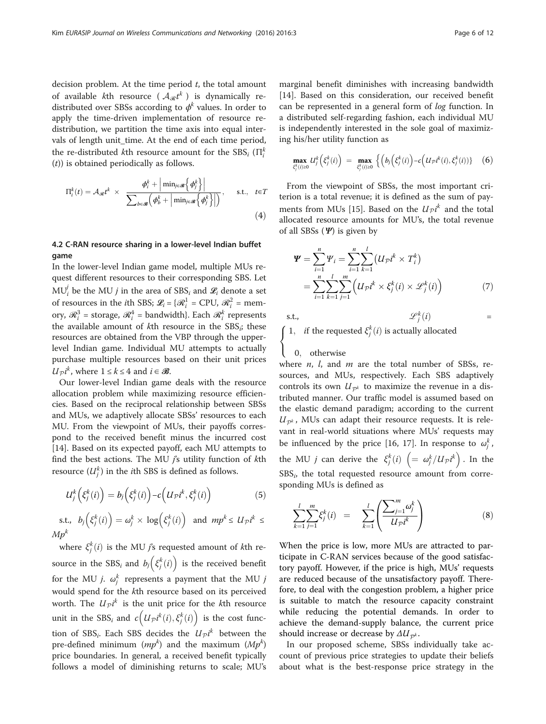<span id="page-5-0"></span>decision problem. At the time period  $t$ , the total amount of available kth resource ( $A_{\mathcal{R}}t^{k}$ ) is dynamically redistributed over SBSs according to  $\phi^k$  values. In order to apply the time-driven implementation of resource redistribution, we partition the time axis into equal intervals of length unit\_time. At the end of each time period, the re-distributed *k*th resource amount for the SBS<sub>i</sub> ( $\Pi_i^k$ )  $(t)$ ) is obtained periodically as follows.

$$
\Pi_i^k(t) = \mathcal{A}_{\mathscr{R}} t^k \times \frac{\phi_i^k + \left| \min_{j \in \mathscr{R}} \left\{ \phi_j^k \right\} \right|}{\sum_{b \in \mathscr{R}} \left( \phi_b^k + \left| \min_{j \in \mathscr{R}} \left\{ \phi_j^k \right\} \right| \right)}, \quad \text{s.t., } t \in \mathcal{I}
$$
\n
$$
(4)
$$

## 4.2 C-RAN resource sharing in a lower-level Indian buffet game

In the lower-level Indian game model, multiple MUs request different resources to their corresponding SBS. Let  $\text{MU}_i^j$  be the MU  $j$  in the area of  $\text{SBS}_i$  and  $\mathscr{L}_i$  denote a set of resources in the *i*th SBS;  $\mathcal{L}_i = \{ \mathcal{R}_i^1 = \text{CPU}, \mathcal{R}_i^2 = \text{mem} \}$ ory,  $\mathcal{R}_i^3$  = storage,  $\mathcal{R}_i^4$  = bandwidth}. Each  $\mathcal{R}_i^k$  represents the available amount of  $k$ th resource in the SBS $_i$ ; these resources are obtained from the VBP through the upperlevel Indian game. Individual MU attempts to actually purchase multiple resources based on their unit prices  $U_{\mathcal{P}}i^k$ , where  $1 \leq k \leq 4$  and  $i \in \mathcal{B}$ .

Our lower-level Indian game deals with the resource allocation problem while maximizing resource efficiencies. Based on the reciprocal relationship between SBSs and MUs, we adaptively allocate SBSs' resources to each MU. From the viewpoint of MUs, their payoffs correspond to the received benefit minus the incurred cost [[14\]](#page-11-0). Based on its expected payoff, each MU attempts to find the best actions. The MU  $j$ 's utility function of  $k$ th resource  $(U_j^k)$  in the *i*th SBS is defined as follows.

$$
U_j^k(\xi_j^k(i)) = b_j(\xi_j^k(i)) - c\Big(U_{\mathcal{P}}i^k, \xi_j^k(i)\Big) \tag{5}
$$

s.t.,  $b_j(\xi_j^k(i)) = \omega_j^k \times \log(\xi_j^k(i))$  and  $mp^k \leq U_p i^k \leq$  $Mp^{k}$ 

where  $\xi_j^k(i)$  is the MU j's requested amount of kth resource in the  $SBS_i$  and  $b_j(\xi_j^k(i))$  is the received benefit for the MU *j.*  $\omega_j^k$  represents a payment that the MU *j* would spend for the kth resource based on its perceived worth. The  $U_{\mathcal{P}}i^k$  is the unit price for the kth resource unit in the SBS<sub>i</sub> and  $c\left( U_{\mathcal{P}}i^{k}(i), \xi_{j}^{k}(i) \right)$  is the cost function of SBS<sub>i</sub>. Each SBS decides the  $U_p i^k$  between the pre-defined minimum  $(mp^k)$  and the maximum  $(Mp^k)$ price boundaries. In general, a received benefit typically follows a model of diminishing returns to scale; MU's marginal benefit diminishes with increasing bandwidth [[14\]](#page-11-0). Based on this consideration, our received benefit can be represented in a general form of log function. In a distributed self-regarding fashion, each individual MU is independently interested in the sole goal of maximizing his/her utility function as

$$
\max_{\xi_j^k(i)\geq 0} U_j^k\left(\xi_j^k(i)\right) = \max_{\xi_j^k(i)\geq 0} \left\{ \left(b_j\left(\xi_j^k(i)\right) - c\left(U_{\mathcal{P}}i^k(i), \xi_j^k(i)\right)\right\} \right\} \quad (6)
$$

From the viewpoint of SBSs, the most important criterion is a total revenue; it is defined as the sum of pay-ments from MUs [\[15](#page-11-0)]. Based on the  $U_{\mathcal{P}}i^k$  and the total<br>allocated necessary amounts for MU<sub>P</sub> the total neurons allocated resource amounts for MU's, the total revenue of all SBSs  $(\Psi)$  is given by

$$
\Psi = \sum_{i=1}^{n} \Psi_i = \sum_{i=1}^{n} \sum_{k=1}^{l} (U_{\mathcal{P}} i^k \times T_i^k)
$$
  
= 
$$
\sum_{i=1}^{n} \sum_{k=1}^{l} \sum_{j=1}^{m} (U_{\mathcal{P}} i^k \times \xi_j^k(i) \times \mathcal{L}_j^k(i))
$$
 (7)

s.t.,  $\mathscr{L}_i^k$ 

 $\sqrt{ }$  $\left\langle \cdot\right\rangle =\left\langle \cdot\right\rangle \left\langle \cdot\right\rangle \left\langle \cdot\right\rangle \left\langle \cdot\right\rangle \left\langle \cdot\right\rangle \left\langle \cdot\right\rangle \left\langle \cdot\right\rangle \left\langle \cdot\right\rangle \left\langle \cdot\right\rangle \left\langle \cdot\right\rangle \left\langle \cdot\right\rangle \left\langle \cdot\right\rangle \left\langle \cdot\right\rangle \left\langle \cdot\right\rangle \left\langle \cdot\right\rangle \left\langle \cdot\right\rangle \left\langle \cdot\right\rangle \left\langle \cdot\right\rangle \left\langle \cdot\right\rangle \left\langle \cdot\right\rangle \left\langle \cdot\right\r$ 

 $j^{k}(i)$  = 1, *if* the requested  $\xi_j^k(i)$  is actually allocated

0; otherwise

 $\mathcal{L}$ where  $n$ ,  $l$ , and  $m$  are the total number of SBSs, resources, and MUs, respectively. Each SBS adaptively controls its own  $U_{\mathcal{P}^k}$  to maximize the revenue in a dis-<br>tributed manner. Our traffic model is assumed based on tributed manner. Our traffic model is assumed based on the elastic demand paradigm; according to the current  $U_{\mathcal{P}^k}$ , MUs can adapt their resource requests. It is rele-<br>wort in real world situations where MUs' requests may vant in real-world situations where MUs' requests may be influenced by the price [\[16](#page-11-0), [17](#page-11-0)]. In response to  $\omega_j^k$ , the MU *j* can derive the  $\xi_j^k(i)$   $\left( = \omega_j^k / U_{\mathcal{P}} i^k \right)$ . In the  $SBS_i$ , the total requested resource amount from corresponding MUs is defined as

$$
\sum_{k=1}^{l} \sum_{j=1}^{m} \xi_{j}^{k}(i) = \sum_{k=1}^{l} \left( \frac{\sum_{j=1}^{m} \omega_{j}^{k}}{U_{\mathcal{P}} i^{k}} \right)
$$
(8)

When the price is low, more MUs are attracted to participate in C-RAN services because of the good satisfactory payoff. However, if the price is high, MUs' requests are reduced because of the unsatisfactory payoff. Therefore, to deal with the congestion problem, a higher price is suitable to match the resource capacity constraint while reducing the potential demands. In order to achieve the demand-supply balance, the current price should increase or decrease by  $\Delta U_{\mathcal{P}^k}$ .<br>In our proposed schome, SBSs in

In our proposed scheme, SBSs individually take account of previous price strategies to update their beliefs about what is the best-response price strategy in the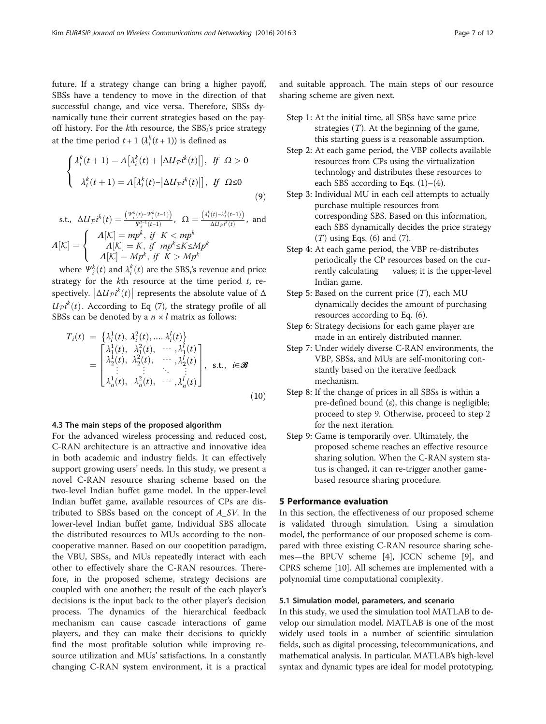<span id="page-6-0"></span>
$$
\begin{cases} \lambda_i^k(t+1) = \Lambda \left[ \lambda_i^k(t) + \left| \Delta U_{\mathcal{P}} i^k(t) \right| \right], & \text{if } \Omega > 0 \\ \lambda_i^k(t+1) = \Lambda \left[ \lambda_i^k(t) - \left| \Delta U_{\mathcal{P}} i^k(t) \right| \right], & \text{if } \Omega \le 0 \end{cases} \tag{9}
$$

s.t., 
$$
\Delta U_{\mathcal{P}}i^k(t) = \frac{(\Psi_i^k(t) - \Psi_i^k(t-1))}{\Psi_i^{t-1}(t-1)}, \ \Omega = \frac{(\lambda_i^k(t) - \lambda_i^k(t-1))}{\Delta U_{\mathcal{P}}i^k(t)},
$$
and  

$$
\Lambda[\mathcal{K}] = \begin{cases} \Lambda[\mathcal{K}] = mp^k, \ if \ K < mp^k \\ \Lambda[\mathcal{K}] = K, \ if \ mp^k \leq K \leq Mp^k \\ \Lambda[\mathcal{K}] = Mp^k, \ if \ K > Mp^k \end{cases}
$$

 $\Lambda[K] = Mp^k$ , if  $K > Mp^k$ <br>where  $\Psi_i^k(t)$  and  $\lambda_i^k(t)$  are the SBS<sub>i</sub>'s revenue and price strategy for the  $k$ th resource at the time period  $t$ , respectively.  $|\Delta U_{\mathcal{P}}i^k(t)|$  represents the absolute value of  $\Delta U_{\mathcal{P}}(t)$  $U_{\mathcal{P}}i^k(t)$ . According to Eq ([7\)](#page-5-0), the strategy profile of all<br>SBSs can be denoted by a  $u \times l$  matrix as follows: SBSs can be denoted by a  $n \times l$  matrix as follows:

$$
T_i(t) = \begin{cases} \lambda_i^1(t), \lambda_i^2(t), \dots, \lambda_i^l(t) \\ \lambda_1^1(t), \lambda_1^2(t), \dots, \lambda_1^l(t) \\ \lambda_2^1(t), \lambda_2^2(t), \dots, \lambda_2^l(t) \\ \vdots \qquad \vdots \qquad \vdots \qquad \vdots \\ \lambda_n^1(t), \lambda_n^2(t), \dots, \lambda_n^l(t) \end{cases}, \text{ s.t., } i \in \mathcal{B}
$$
\n(10)

## 4.3 The main steps of the proposed algorithm

For the advanced wireless processing and reduced cost, C-RAN architecture is an attractive and innovative idea in both academic and industry fields. It can effectively support growing users' needs. In this study, we present a novel C-RAN resource sharing scheme based on the two-level Indian buffet game model. In the upper-level Indian buffet game, available resources of CPs are distributed to SBSs based on the concept of A\_SV. In the lower-level Indian buffet game, Individual SBS allocate the distributed resources to MUs according to the noncooperative manner. Based on our coopetition paradigm, the VBU, SBSs, and MUs repeatedly interact with each other to effectively share the C-RAN resources. Therefore, in the proposed scheme, strategy decisions are coupled with one another; the result of the each player's decisions is the input back to the other player's decision process. The dynamics of the hierarchical feedback mechanism can cause cascade interactions of game players, and they can make their decisions to quickly find the most profitable solution while improving resource utilization and MUs' satisfactions. In a constantly changing C-RAN system environment, it is a practical and suitable approach. The main steps of our resource sharing scheme are given next.

- Step 1: At the initial time, all SBSs have same price strategies  $(T)$ . At the beginning of the game, this starting guess is a reasonable assumption.
- Step 2: At each game period, the VBP collects available resources from CPs using the virtualization technology and distributes these resources to each SBS according to Eqs.  $(1)$  $(1)$ – $(4)$  $(4)$ .
- Step 3: Individual MU in each cell attempts to actually purchase multiple resources from corresponding SBS. Based on this information, each SBS dynamically decides the price strategy  $(T)$  using Eqs. ([6](#page-5-0)) and  $(7)$  $(7)$ .
- Step 4: At each game period, the VBP re-distributes periodically the CP resources based on the currently calculating values; it is the upper-level Indian game.
- Step 5: Based on the current price  $(T)$ , each MU dynamically decides the amount of purchasing resources according to Eq. [\(6](#page-5-0)).
- Step 6: Strategy decisions for each game player are made in an entirely distributed manner.
- Step 7: Under widely diverse C-RAN environments, the VBP, SBSs, and MUs are self-monitoring constantly based on the iterative feedback mechanism.
- Step 8: If the change of prices in all SBSs is within a pre-defined bound  $(\varepsilon)$ , this change is negligible; proceed to step 9. Otherwise, proceed to step 2 for the next iteration.
- Step 9: Game is temporarily over. Ultimately, the proposed scheme reaches an effective resource sharing solution. When the C-RAN system status is changed, it can re-trigger another gamebased resource sharing procedure.

## 5 Performance evaluation

In this section, the effectiveness of our proposed scheme is validated through simulation. Using a simulation model, the performance of our proposed scheme is compared with three existing C-RAN resource sharing schemes—the BPUV scheme [\[4](#page-11-0)], JCCN scheme [[9\]](#page-11-0), and CPRS scheme [\[10](#page-11-0)]. All schemes are implemented with a polynomial time computational complexity.

#### 5.1 Simulation model, parameters, and scenario

In this study, we used the simulation tool MATLAB to develop our simulation model. MATLAB is one of the most widely used tools in a number of scientific simulation fields, such as digital processing, telecommunications, and mathematical analysis. In particular, MATLAB's high-level syntax and dynamic types are ideal for model prototyping.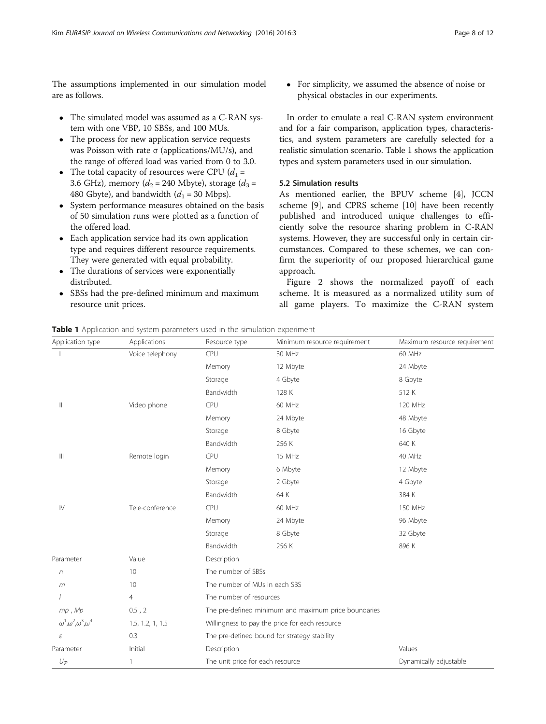The assumptions implemented in our simulation model are as follows.

- The simulated model was assumed as a C-RAN sys-<br>top with one VBB 10 SBSs, and 100 MHs tem with one VBP, 10 SBSs, and 100 MUs.
- The process for new application service requests<br>were poissen with rate  $\sigma$  (applications(MH/s), and was Poisson with rate  $\sigma$  (applications/MU/s), and the range of offered load was varied from 0 to 3.0.
- The total capacity of resources were CPU  $(d_1 = 2.6 \text{ GHz})$  moment  $(d_2 = 2.40 \text{ MHz})$  storage (s) 3.6 GHz), memory ( $d_2$  = 240 Mbyte), storage ( $d_3$  = 480 Gbyte), and bandwidth  $(d_1 = 30$  Mbps).
- System performance measures obtained on the basis<br>of 50 simulation runs were pletted as a function of of 50 simulation runs were plotted as a function of the offered load.
- Each application service had its own application<br>type and requires different resource requirement type and requires different resource requirements. They were generated with equal probability.
- The durations of services were exponentially distributed.
- SBSs had the pre-defined minimum and maximum resource unit prices.

• For simplicity, we assumed the absence of noise or physical obstacles in our experiments physical obstacles in our experiments.

In order to emulate a real C-RAN system environment and for a fair comparison, application types, characteristics, and system parameters are carefully selected for a realistic simulation scenario. Table 1 shows the application types and system parameters used in our simulation.

## 5.2 Simulation results

As mentioned earlier, the BPUV scheme [[4\]](#page-11-0), JCCN scheme [[9\]](#page-11-0), and CPRS scheme [\[10](#page-11-0)] have been recently published and introduced unique challenges to efficiently solve the resource sharing problem in C-RAN systems. However, they are successful only in certain circumstances. Compared to these schemes, we can confirm the superiority of our proposed hierarchical game approach.

Figure [2](#page-8-0) shows the normalized payoff of each scheme. It is measured as a normalized utility sum of all game players. To maximize the C-RAN system

|  |  | Table 1 Application and system parameters used in the simulation experiment |  |  |  |  |  |
|--|--|-----------------------------------------------------------------------------|--|--|--|--|--|
|--|--|-----------------------------------------------------------------------------|--|--|--|--|--|

| Application type                         | Applications     | Resource type                                        | Minimum resource requirement | Maximum resource requirement |  |  |  |
|------------------------------------------|------------------|------------------------------------------------------|------------------------------|------------------------------|--|--|--|
|                                          | Voice telephony  | CPU                                                  | 30 MHz                       | 60 MHz                       |  |  |  |
|                                          |                  | Memory                                               | 12 Mbyte                     | 24 Mbyte                     |  |  |  |
|                                          |                  | Storage                                              | 4 Gbyte                      | 8 Gbyte                      |  |  |  |
|                                          |                  | <b>Bandwidth</b>                                     | 128 K                        | 512 K                        |  |  |  |
| $\vert\vert$                             | Video phone      | CPU                                                  | 60 MHz                       | 120 MHz                      |  |  |  |
|                                          |                  | Memory                                               | 24 Mbyte                     | 48 Mbyte                     |  |  |  |
|                                          |                  | Storage                                              | 8 Gbyte                      | 16 Gbyte                     |  |  |  |
|                                          |                  | <b>Bandwidth</b>                                     | 256 K                        | 640 K                        |  |  |  |
| $\  \ $                                  | Remote login     | CPU                                                  | 15 MHz                       | 40 MHz                       |  |  |  |
|                                          |                  | Memory                                               | 6 Mbyte                      | 12 Mbyte                     |  |  |  |
|                                          |                  | Storage                                              | 2 Gbyte                      | 4 Gbyte                      |  |  |  |
|                                          |                  | <b>Bandwidth</b>                                     | 64 K                         | 384 K                        |  |  |  |
| $\mathsf{I}\mathsf{V}$                   | Tele-conference  | CPU                                                  | 60 MHz                       | 150 MHz                      |  |  |  |
|                                          |                  | Memory                                               | 24 Mbyte                     | 96 Mbyte                     |  |  |  |
|                                          |                  | Storage                                              | 8 Gbyte                      | 32 Gbyte                     |  |  |  |
|                                          |                  | Bandwidth                                            | 256 K                        | 896 K                        |  |  |  |
| Parameter                                | Value            | Description                                          |                              |                              |  |  |  |
| $\eta$                                   | 10               | The number of SBSs                                   |                              |                              |  |  |  |
| m                                        | 10               | The number of MUs in each SBS                        |                              |                              |  |  |  |
|                                          | $\overline{4}$   | The number of resources                              |                              |                              |  |  |  |
| $mp$ , Mp                                | $0.5$ , 2        | The pre-defined minimum and maximum price boundaries |                              |                              |  |  |  |
| $\omega^1, \omega^2, \omega^3, \omega^4$ | 1.5, 1.2, 1, 1.5 | Willingness to pay the price for each resource       |                              |                              |  |  |  |
| ε                                        | 0.3              | The pre-defined bound for strategy stability         |                              |                              |  |  |  |
| Parameter                                | Initial          | Description                                          | Values                       |                              |  |  |  |
| $U_{\mathcal{P}}$                        |                  | The unit price for each resource                     | Dynamically adjustable       |                              |  |  |  |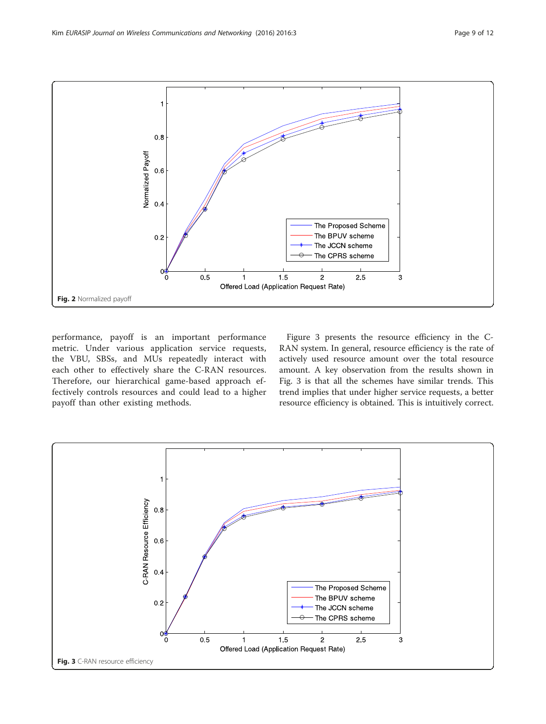<span id="page-8-0"></span>

performance, payoff is an important performance metric. Under various application service requests, the VBU, SBSs, and MUs repeatedly interact with each other to effectively share the C-RAN resources. Therefore, our hierarchical game-based approach effectively controls resources and could lead to a higher payoff than other existing methods.

Figure 3 presents the resource efficiency in the C-RAN system. In general, resource efficiency is the rate of actively used resource amount over the total resource amount. A key observation from the results shown in Fig. 3 is that all the schemes have similar trends. This trend implies that under higher service requests, a better resource efficiency is obtained. This is intuitively correct.

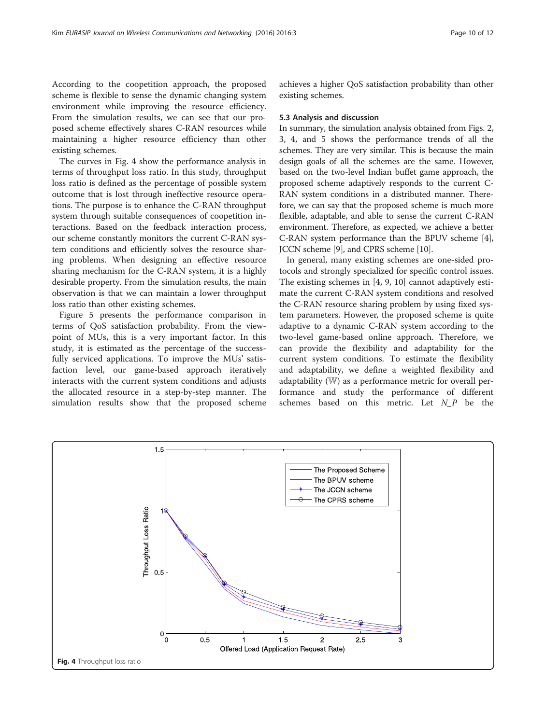According to the coopetition approach, the proposed scheme is flexible to sense the dynamic changing system environment while improving the resource efficiency. From the simulation results, we can see that our proposed scheme effectively shares C-RAN resources while maintaining a higher resource efficiency than other existing schemes.

The curves in Fig. 4 show the performance analysis in terms of throughput loss ratio. In this study, throughput loss ratio is defined as the percentage of possible system outcome that is lost through ineffective resource operations. The purpose is to enhance the C-RAN throughput system through suitable consequences of coopetition interactions. Based on the feedback interaction process, our scheme constantly monitors the current C-RAN system conditions and efficiently solves the resource sharing problems. When designing an effective resource sharing mechanism for the C-RAN system, it is a highly desirable property. From the simulation results, the main observation is that we can maintain a lower throughput loss ratio than other existing schemes.

Figure [5](#page-10-0) presents the performance comparison in terms of QoS satisfaction probability. From the viewpoint of MUs, this is a very important factor. In this study, it is estimated as the percentage of the successfully serviced applications. To improve the MUs' satisfaction level, our game-based approach iteratively interacts with the current system conditions and adjusts the allocated resource in a step-by-step manner. The simulation results show that the proposed scheme achieves a higher QoS satisfaction probability than other existing schemes.

#### 5.3 Analysis and discussion

In summary, the simulation analysis obtained from Figs. [2](#page-8-0), [3,](#page-8-0) 4, and [5](#page-10-0) shows the performance trends of all the schemes. They are very similar. This is because the main design goals of all the schemes are the same. However, based on the two-level Indian buffet game approach, the proposed scheme adaptively responds to the current C-RAN system conditions in a distributed manner. Therefore, we can say that the proposed scheme is much more flexible, adaptable, and able to sense the current C-RAN environment. Therefore, as expected, we achieve a better C-RAN system performance than the BPUV scheme [[4](#page-11-0)], JCCN scheme [\[9](#page-11-0)], and CPRS scheme [[10](#page-11-0)].

In general, many existing schemes are one-sided protocols and strongly specialized for specific control issues. The existing schemes in [[4, 9, 10\]](#page-11-0) cannot adaptively estimate the current C-RAN system conditions and resolved the C-RAN resource sharing problem by using fixed system parameters. However, the proposed scheme is quite adaptive to a dynamic C-RAN system according to the two-level game-based online approach. Therefore, we can provide the flexibility and adaptability for the current system conditions. To estimate the flexibility and adaptability, we define a weighted flexibility and adaptability (W) as a performance metric for overall performance and study the performance of different schemes based on this metric. Let  $N_P$  be the

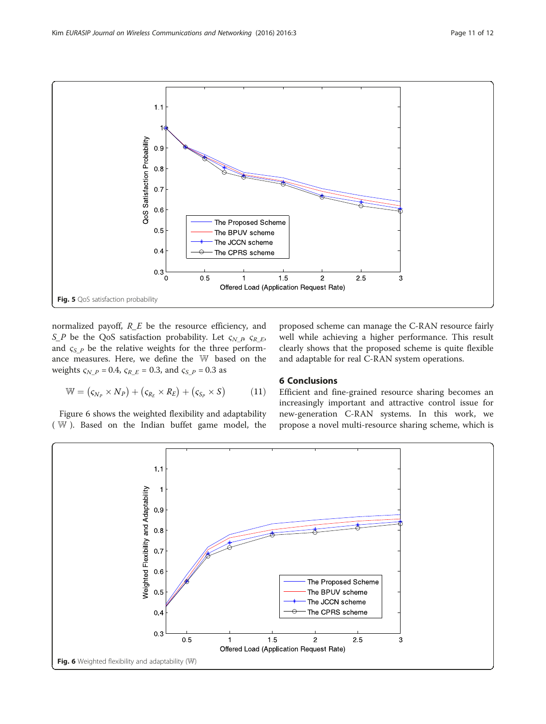<span id="page-10-0"></span>

normalized payoff,  $R_E$  be the resource efficiency, and S\_P be the QoS satisfaction probability. Let  $\varsigma_{N.P}$ ,  $\varsigma_{R-E}$ , and  $\zeta_{S,P}$  be the relative weights for the three performance measures. Here, we define the W based on the weights  $\varsigma_{N\_P} = 0.4$ ,  $\varsigma_{R\_E} = 0.3$ , and  $\varsigma_{S\_P} = 0.3$  as

$$
\mathbb{W} = (c_{N_P} \times N_P) + (c_{R_E} \times R_E) + (c_{S_P} \times S) \tag{11}
$$

Figure 6 shows the weighted flexibility and adaptability ( W ). Based on the Indian buffet game model, the proposed scheme can manage the C-RAN resource fairly well while achieving a higher performance. This result clearly shows that the proposed scheme is quite flexible and adaptable for real C-RAN system operations.

## 6 Conclusions

Efficient and fine-grained resource sharing becomes an increasingly important and attractive control issue for new-generation C-RAN systems. In this work, we propose a novel multi-resource sharing scheme, which is